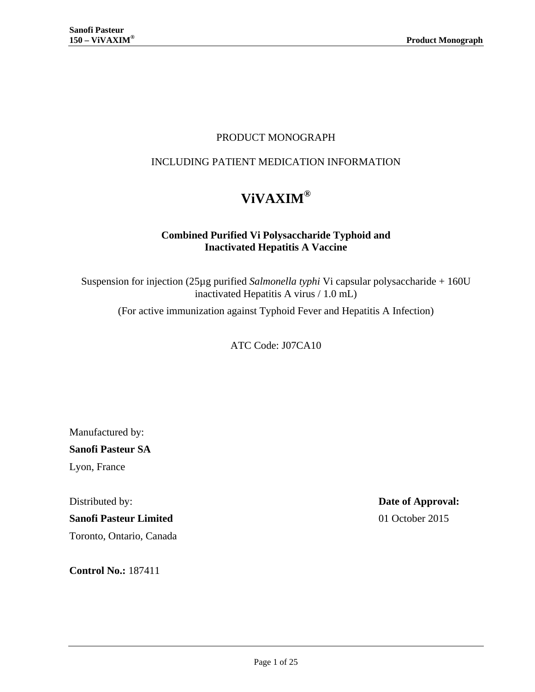## PRODUCT MONOGRAPH

## INCLUDING PATIENT MEDICATION INFORMATION

# **ViVAXIM®**

#### **Combined Purified Vi Polysaccharide Typhoid and Inactivated Hepatitis A Vaccine**

Suspension for injection (25µg purified *Salmonella typhi* Vi capsular polysaccharide + 160U inactivated Hepatitis A virus / 1.0 mL)

(For active immunization against Typhoid Fever and Hepatitis A Infection)

ATC Code: J07CA10

Manufactured by:

**Sanofi Pasteur SA**

Lyon, France

**Sanofi Pasteur Limited** 01 October 2015

Toronto, Ontario, Canada

**Control No.:** 187411

Distributed by: **Date of Approval:**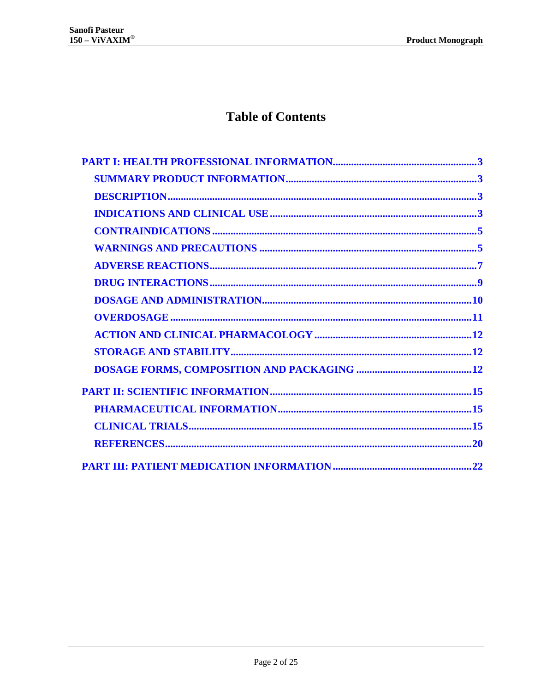## **Table of Contents**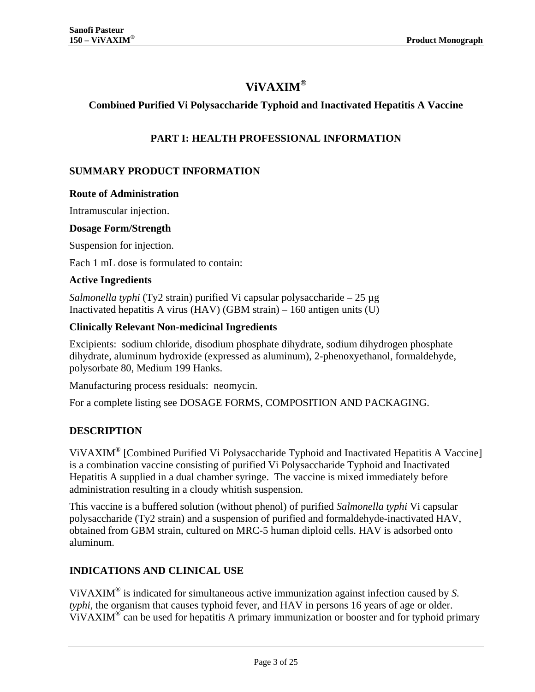## **ViVAXIM®**

#### <span id="page-2-0"></span>**Combined Purified Vi Polysaccharide Typhoid and Inactivated Hepatitis A Vaccine**

#### **PART I: HEALTH PROFESSIONAL INFORMATION**

#### <span id="page-2-1"></span>**SUMMARY PRODUCT INFORMATION**

#### **Route of Administration**

Intramuscular injection.

#### **Dosage Form/Strength**

Suspension for injection.

Each 1 mL dose is formulated to contain:

#### **Active Ingredients**

*Salmonella typhi* (Ty2 strain) purified Vi capsular polysaccharide – 25 µg Inactivated hepatitis A virus (HAV) (GBM strain)  $-160$  antigen units (U)

#### **Clinically Relevant Non-medicinal Ingredients**

Excipients: sodium chloride, disodium phosphate dihydrate, sodium dihydrogen phosphate dihydrate, aluminum hydroxide (expressed as aluminum), 2-phenoxyethanol, formaldehyde, polysorbate 80, Medium 199 Hanks.

Manufacturing process residuals: neomycin.

<span id="page-2-2"></span>For a complete listing see [DOSAGE FORMS, COMPOSITION AND PACKAGING.](#page-11-2)

#### **DESCRIPTION**

ViVAXIM® [Combined Purified Vi Polysaccharide Typhoid and Inactivated Hepatitis A Vaccine] is a combination vaccine consisting of purified Vi Polysaccharide Typhoid and Inactivated Hepatitis A supplied in a dual chamber syringe. The vaccine is mixed immediately before administration resulting in a cloudy whitish suspension.

This vaccine is a buffered solution (without phenol) of purified *Salmonella typhi* Vi capsular polysaccharide (Ty2 strain) and a suspension of purified and formaldehyde-inactivated HAV, obtained from GBM strain, cultured on MRC-5 human diploid cells. HAV is adsorbed onto aluminum.

#### <span id="page-2-3"></span>**INDICATIONS AND CLINICAL USE**

ViVAXIM® is indicated for simultaneous active immunization against infection caused by *S. typhi*, the organism that causes typhoid fever, and HAV in persons 16 years of age or older. ViVAXIM<sup>®</sup> can be used for hepatitis A primary immunization or booster and for typhoid primary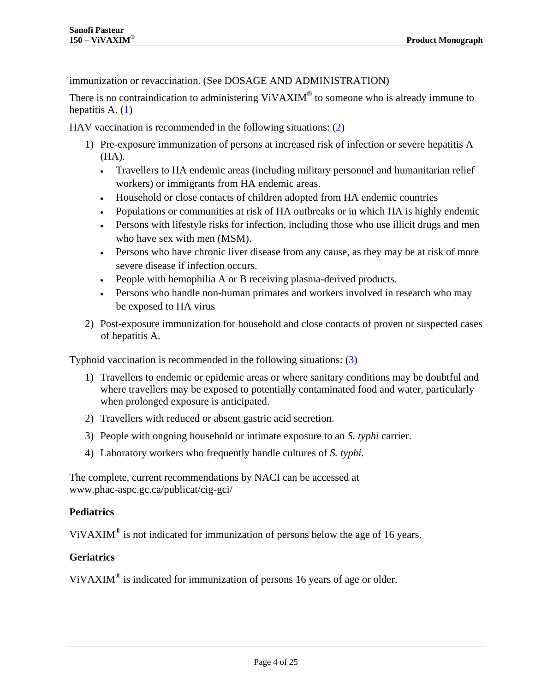immunization or revaccination. (See [DOSAGE AND ADMINISTRATION\)](#page-9-0)

There is no contraindication to administering ViVAXIM<sup>®</sup> to someone who is already immune to hepatitis A.  $(1)$ 

HAV vaccination is recommended in the following situations: [\(2\)](#page-19-2)

- 1) Pre-exposure immunization of persons at increased risk of infection or severe hepatitis A (HA).
	- Travellers to HA endemic areas (including military personnel and humanitarian relief workers) or immigrants from HA endemic areas.
	- Household or close contacts of children adopted from HA endemic countries
	- Populations or communities at risk of HA outbreaks or in which HA is highly endemic
	- Persons with lifestyle risks for infection, including those who use illicit drugs and men who have sex with men (MSM).
	- Persons who have chronic liver disease from any cause, as they may be at risk of more severe disease if infection occurs.
	- People with hemophilia A or B receiving plasma-derived products.
	- Persons who handle non-human primates and workers involved in research who may be exposed to HA virus
- 2) Post-exposure immunization for household and close contacts of proven or suspected cases of hepatitis A.

Typhoid vaccination is recommended in the following situations: [\(3\)](#page-19-3)

- 1) Travellers to endemic or epidemic areas or where sanitary conditions may be doubtful and where travellers may be exposed to potentially contaminated food and water, particularly when prolonged exposure is anticipated.
- 2) Travellers with reduced or absent gastric acid secretion.
- 3) People with ongoing household or intimate exposure to an *S. typhi* carrier.
- 4) Laboratory workers who frequently handle cultures of *S. typhi.*

The complete, current recommendations by NACI can be accessed at [www.phac-aspc.gc.ca/publicat/cig-gci/](http://www.phac-aspc.gc.ca/publicat/cig-gci/)

#### **Pediatrics**

ViVAXIM<sup>®</sup> is not indicated for immunization of persons below the age of 16 years.

#### **Geriatrics**

ViVAXIM® is indicated for immunization of persons 16 years of age or older.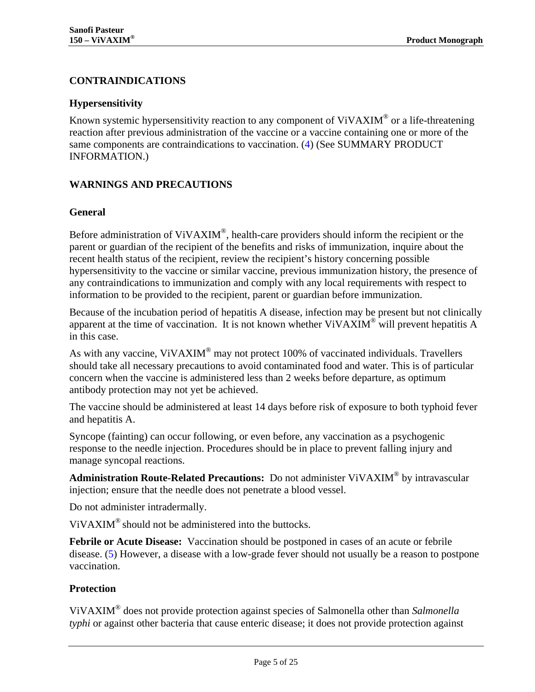#### <span id="page-4-0"></span>**CONTRAINDICATIONS**

#### **Hypersensitivity**

Known systemic hypersensitivity reaction to any component of ViVAXIM<sup>®</sup> or a life-threatening reaction after previous administration of the vaccine or a vaccine containing one or more of the same components are contraindications to vaccination. [\(4\)](#page-19-4) (See [SUMMARY PRODUCT](#page-2-1)  [INFORMATION.](#page-2-1))

#### <span id="page-4-1"></span>**WARNINGS AND PRECAUTIONS**

#### **General**

Before administration of ViVAXIM<sup>®</sup>, health-care providers should inform the recipient or the parent or guardian of the recipient of the benefits and risks of immunization, inquire about the recent health status of the recipient, review the recipient's history concerning possible hypersensitivity to the vaccine or similar vaccine, previous immunization history, the presence of any contraindications to immunization and comply with any local requirements with respect to information to be provided to the recipient, parent or guardian before immunization.

Because of the incubation period of hepatitis A disease, infection may be present but not clinically apparent at the time of vaccination. It is not known whether  $ViVAXIM^{\circledast}$  will prevent hepatitis A in this case.

As with any vaccine, ViVAXIM<sup>®</sup> may not protect 100% of vaccinated individuals. Travellers should take all necessary precautions to avoid contaminated food and water. This is of particular concern when the vaccine is administered less than 2 weeks before departure, as optimum antibody protection may not yet be achieved.

The vaccine should be administered at least 14 days before risk of exposure to both typhoid fever and hepatitis A.

Syncope (fainting) can occur following, or even before, any vaccination as a psychogenic response to the needle injection. Procedures should be in place to prevent falling injury and manage syncopal reactions.

**Administration Route-Related Precautions:** Do not administer ViVAXIM® by intravascular injection; ensure that the needle does not penetrate a blood vessel.

Do not administer intradermally.

 $ViVAXIM^{\circledR}$  should not be administered into the buttocks.

**Febrile or Acute Disease:** Vaccination should be postponed in cases of an acute or febrile disease. [\(5\)](#page-19-5) However, a disease with a low-grade fever should not usually be a reason to postpone vaccination.

#### **Protection**

ViVAXIM® does not provide protection against species of Salmonella other than *Salmonella typhi* or against other bacteria that cause enteric disease; it does not provide protection against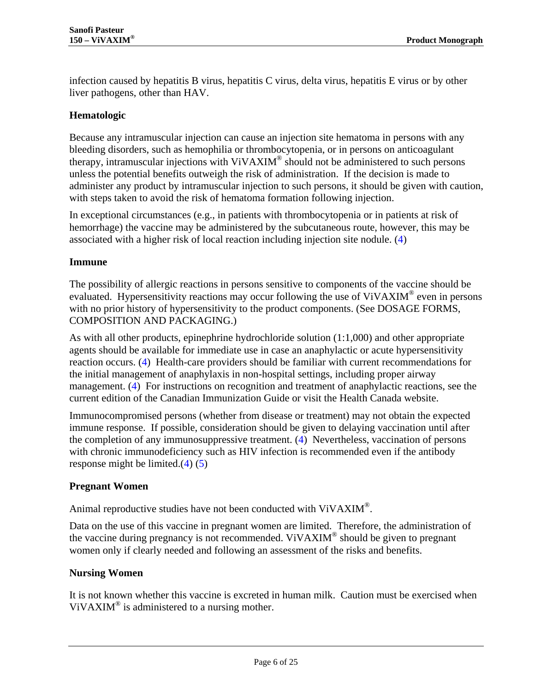infection caused by hepatitis B virus, hepatitis C virus, delta virus, hepatitis E virus or by other liver pathogens, other than HAV.

#### **Hematologic**

Because any intramuscular injection can cause an injection site hematoma in persons with any bleeding disorders, such as hemophilia or thrombocytopenia, or in persons on anticoagulant therapy, intramuscular injections with ViVAXIM® should not be administered to such persons unless the potential benefits outweigh the risk of administration. If the decision is made to administer any product by intramuscular injection to such persons, it should be given with caution, with steps taken to avoid the risk of hematoma formation following injection.

In exceptional circumstances (e.g., in patients with thrombocytopenia or in patients at risk of hemorrhage) the vaccine may be administered by the subcutaneous route, however, this may be associated with a higher risk of local reaction including injection site nodule. [\(4\)](#page-19-4)

#### **Immune**

The possibility of allergic reactions in persons sensitive to components of the vaccine should be evaluated. Hypersensitivity reactions may occur following the use of ViVAXIM<sup>®</sup> even in persons with no prior history of hypersensitivity to the product components. (See DOSAGE FORMS, [COMPOSITION AND PACKAGING.](#page-11-2))

As with all other products, epinephrine hydrochloride solution (1:1,000) and other appropriate agents should be available for immediate use in case an anaphylactic or acute hypersensitivity reaction occurs. [\(4\)](#page-19-4) Health-care providers should be familiar with current recommendations for the initial management of anaphylaxis in non-hospital settings, including proper airway management. [\(4\)](#page-19-4) For instructions on recognition and treatment of anaphylactic reactions, see the current edition of the Canadian Immunization Guide or visit the Health Canada website.

Immunocompromised persons (whether from disease or treatment) may not obtain the expected immune response. If possible, consideration should be given to delaying vaccination until after the completion of any immunosuppressive treatment. [\(4\)](#page-19-4) Nevertheless, vaccination of persons with chronic immunodeficiency such as HIV infection is recommended even if the antibody response might be limited[.\(4\)](#page-19-4) [\(5\)](#page-19-5) 

#### **Pregnant Women**

Animal reproductive studies have not been conducted with ViVAXIM®.

Data on the use of this vaccine in pregnant women are limited. Therefore, the administration of the vaccine during pregnancy is not recommended. ViVAXIM<sup>®</sup> should be given to pregnant women only if clearly needed and following an assessment of the risks and benefits.

#### **Nursing Women**

It is not known whether this vaccine is excreted in human milk. Caution must be exercised when ViVAXIM<sup>®</sup> is administered to a nursing mother.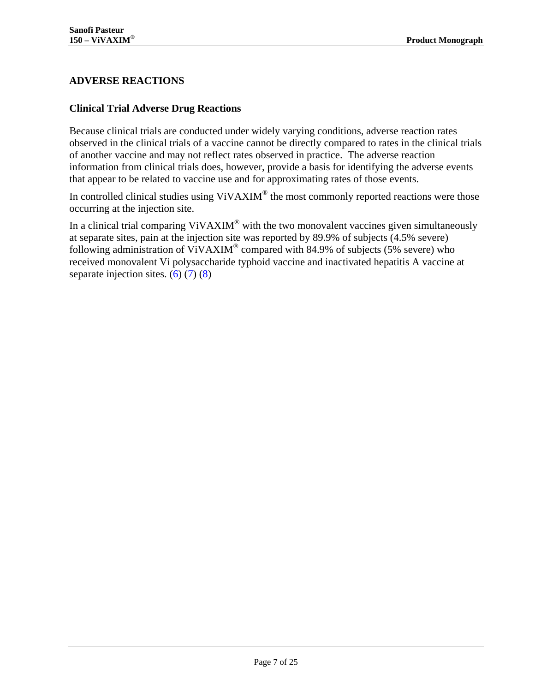#### <span id="page-6-0"></span>**ADVERSE REACTIONS**

#### **Clinical Trial Adverse Drug Reactions**

Because clinical trials are conducted under widely varying conditions, adverse reaction rates observed in the clinical trials of a vaccine cannot be directly compared to rates in the clinical trials of another vaccine and may not reflect rates observed in practice. The adverse reaction information from clinical trials does, however, provide a basis for identifying the adverse events that appear to be related to vaccine use and for approximating rates of those events.

In controlled clinical studies using ViVAXIM<sup>®</sup> the most commonly reported reactions were those occurring at the injection site.

In a clinical trial comparing ViVAXIM<sup>®</sup> with the two monovalent vaccines given simultaneously at separate sites, pain at the injection site was reported by 89.9% of subjects (4.5% severe) following administration of ViVAXIM® compared with 84.9% of subjects (5% severe) who received monovalent Vi polysaccharide typhoid vaccine and inactivated hepatitis A vaccine at separate injection sites.  $(6)(7)(8)$  $(6)(7)(8)$  $(6)(7)(8)$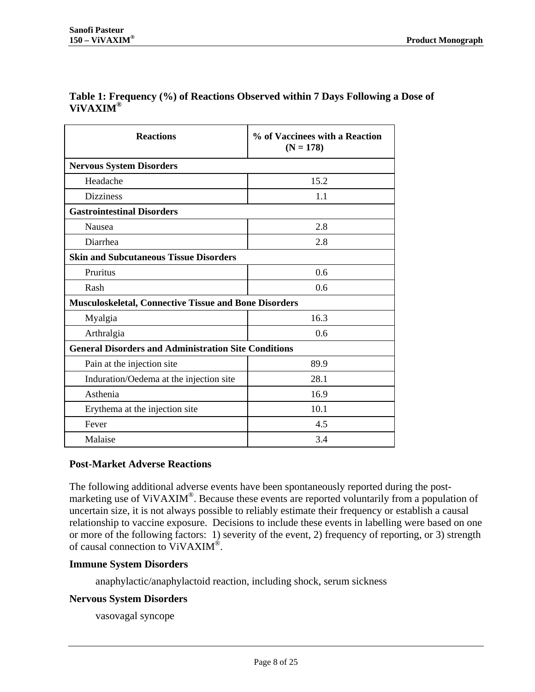#### **Table 1: Frequency (%) of Reactions Observed within 7 Days Following a Dose of ViVAXIM®**

| <b>Reactions</b>                                             | % of Vaccinees with a Reaction<br>$(N = 178)$ |  |  |  |  |
|--------------------------------------------------------------|-----------------------------------------------|--|--|--|--|
| <b>Nervous System Disorders</b>                              |                                               |  |  |  |  |
| Headache                                                     | 15.2                                          |  |  |  |  |
| <b>Dizziness</b>                                             | 1.1                                           |  |  |  |  |
| <b>Gastrointestinal Disorders</b>                            |                                               |  |  |  |  |
| <b>Nausea</b>                                                | 2.8                                           |  |  |  |  |
| Diarrhea                                                     | 2.8                                           |  |  |  |  |
| <b>Skin and Subcutaneous Tissue Disorders</b>                |                                               |  |  |  |  |
| Pruritus                                                     | 0.6                                           |  |  |  |  |
| Rash                                                         | 0.6                                           |  |  |  |  |
| <b>Musculoskeletal, Connective Tissue and Bone Disorders</b> |                                               |  |  |  |  |
| Myalgia                                                      | 16.3                                          |  |  |  |  |
| Arthralgia                                                   | 0.6                                           |  |  |  |  |
| <b>General Disorders and Administration Site Conditions</b>  |                                               |  |  |  |  |
| Pain at the injection site                                   | 89.9                                          |  |  |  |  |
| Induration/Oedema at the injection site                      | 28.1                                          |  |  |  |  |
| Asthenia                                                     | 16.9                                          |  |  |  |  |
| Erythema at the injection site                               | 10.1                                          |  |  |  |  |
| Fever                                                        | 4.5                                           |  |  |  |  |
| Malaise                                                      | 3.4                                           |  |  |  |  |

#### **Post-Market Adverse Reactions**

The following additional adverse events have been spontaneously reported during the postmarketing use of ViVAXIM<sup>®</sup>. Because these events are reported voluntarily from a population of uncertain size, it is not always possible to reliably estimate their frequency or establish a causal relationship to vaccine exposure. Decisions to include these events in labelling were based on one or more of the following factors: 1) severity of the event, 2) frequency of reporting, or 3) strength of causal connection to ViVAXIM®.

#### **Immune System Disorders**

anaphylactic/anaphylactoid reaction, including shock, serum sickness

#### **Nervous System Disorders**

vasovagal syncope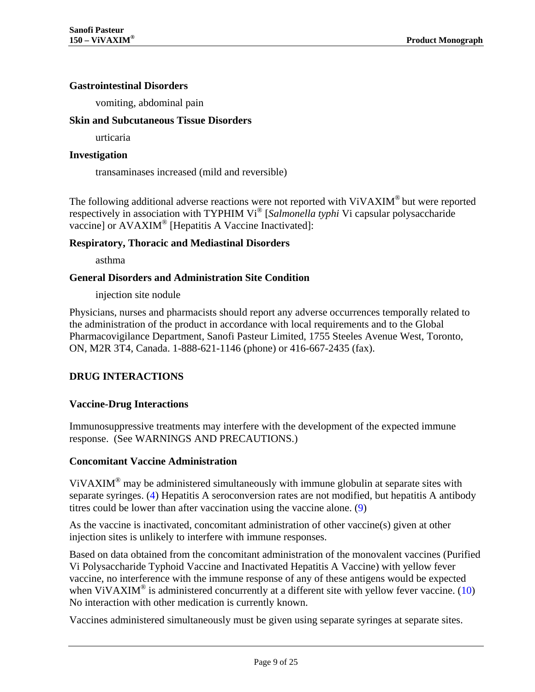#### **Gastrointestinal Disorders**

vomiting, abdominal pain

#### **Skin and Subcutaneous Tissue Disorders**

urticaria

#### **Investigation**

transaminases increased (mild and reversible)

The following additional adverse reactions were not reported with ViVAXIM® but were reported respectively in association with TYPHIM Vi<sup>®</sup> [*Salmonella typhi* Vi capsular polysaccharide vaccine] or AVAXIM<sup>®</sup> [Hepatitis A Vaccine Inactivated]:

#### **Respiratory, Thoracic and Mediastinal Disorders**

asthma

#### **General Disorders and Administration Site Condition**

injection site nodule

Physicians, nurses and pharmacists should report any adverse occurrences temporally related to the administration of the product in accordance with local requirements and to the Global Pharmacovigilance Department, Sanofi Pasteur Limited, 1755 Steeles Avenue West, Toronto, ON, M2R 3T4, Canada. 1-888-621-1146 (phone) or 416-667-2435 (fax).

#### <span id="page-8-0"></span>**DRUG INTERACTIONS**

#### **Vaccine-Drug Interactions**

Immunosuppressive treatments may interfere with the development of the expected immune response. (See [WARNINGS AND PRECAUTIONS.](#page-4-1))

#### **Concomitant Vaccine Administration**

ViVAXIM® may be administered simultaneously with immune globulin at separate sites with separate syringes. [\(4\)](#page-19-4) Hepatitis A seroconversion rates are not modified, but hepatitis A antibody titres could be lower than after vaccination using the vaccine alone. [\(9\)](#page-19-9)

As the vaccine is inactivated, concomitant administration of other vaccine(s) given at other injection sites is unlikely to interfere with immune responses.

Based on data obtained from the concomitant administration of the monovalent vaccines (Purified Vi Polysaccharide Typhoid Vaccine and Inactivated Hepatitis A Vaccine) with yellow fever vaccine, no interference with the immune response of any of these antigens would be expected when ViVAXIM<sup>®</sup> is administered concurrently at a different site with yellow fever vaccine. (10) No interaction with other medication is currently known.

Vaccines administered simultaneously must be given using separate syringes at separate sites.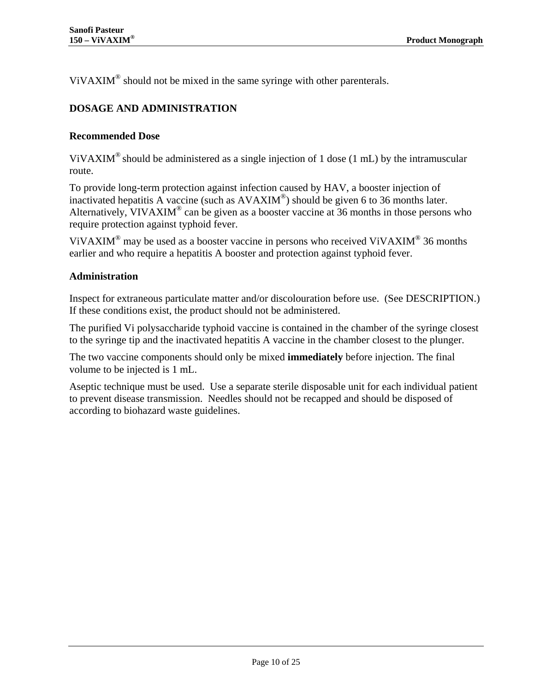<span id="page-9-0"></span>ViVAXIM® should not be mixed in the same syringe with other parenterals.

### **DOSAGE AND ADMINISTRATION**

#### **Recommended Dose**

ViVAXIM<sup>®</sup> should be administered as a single injection of 1 dose (1 mL) by the intramuscular route.

To provide long-term protection against infection caused by HAV, a booster injection of inactivated hepatitis A vaccine (such as AVAXIM®) should be given 6 to 36 months later. Alternatively, VIVAXIM® can be given as a booster vaccine at 36 months in those persons who require protection against typhoid fever.

ViVAXIM<sup>®</sup> may be used as a booster vaccine in persons who received ViVAXIM<sup>®</sup> 36 months earlier and who require a hepatitis A booster and protection against typhoid fever.

#### **Administration**

Inspect for extraneous particulate matter and/or discolouration before use. (See [DESCRIPTION.](#page-2-2)) If these conditions exist, the product should not be administered.

The purified Vi polysaccharide typhoid vaccine is contained in the chamber of the syringe closest to the syringe tip and the inactivated hepatitis A vaccine in the chamber closest to the plunger.

The two vaccine components should only be mixed **immediately** before injection. The final volume to be injected is 1 mL.

Aseptic technique must be used. Use a separate sterile disposable unit for each individual patient to prevent disease transmission. Needles should not be recapped and should be disposed of according to biohazard waste guidelines.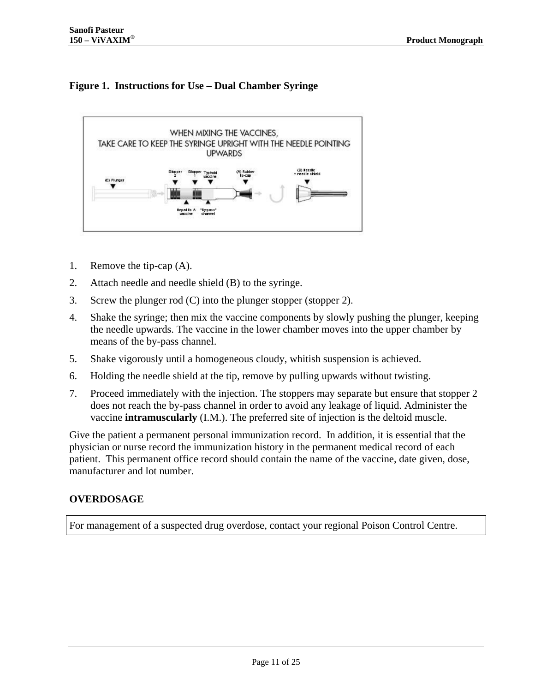## **Figure 1. Instructions for Use – Dual Chamber Syringe**



- 1. Remove the tip-cap (A).
- 2. Attach needle and needle shield (B) to the syringe.
- 3. Screw the plunger rod (C) into the plunger stopper (stopper 2).
- 4. Shake the syringe; then mix the vaccine components by slowly pushing the plunger, keeping the needle upwards. The vaccine in the lower chamber moves into the upper chamber by means of the by-pass channel.
- 5. Shake vigorously until a homogeneous cloudy, whitish suspension is achieved.
- 6. Holding the needle shield at the tip, remove by pulling upwards without twisting.
- 7. Proceed immediately with the injection. The stoppers may separate but ensure that stopper 2 does not reach the by-pass channel in order to avoid any leakage of liquid. Administer the vaccine **intramuscularly** (I.M.). The preferred site of injection is the deltoid muscle.

Give the patient a permanent personal immunization record. In addition, it is essential that the physician or nurse record the immunization history in the permanent medical record of each patient. This permanent office record should contain the name of the vaccine, date given, dose, manufacturer and lot number.

#### <span id="page-10-0"></span>**OVERDOSAGE**

For management of a suspected drug overdose, contact your regional Poison Control Centre.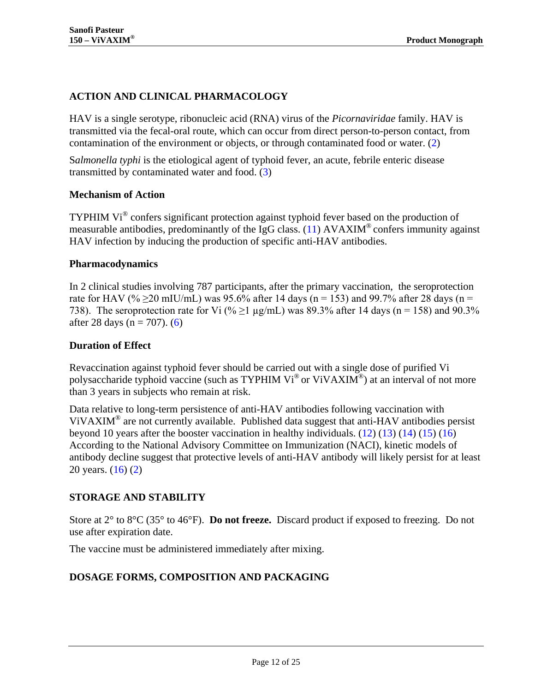## <span id="page-11-0"></span>**ACTION AND CLINICAL PHARMACOLOGY**

HAV is a single serotype, ribonucleic acid (RNA) virus of the *Picornaviridae* family. HAV is transmitted via the fecal-oral route, which can occur from direct person-to-person contact, from contamination of the environment or objects, or through contaminated food or water. [\(2\)](#page-19-2)

S*almonella typhi* is the etiological agent of typhoid fever, an acute, febrile enteric disease transmitted by contaminated water and food. [\(3\)](#page-19-3)

#### **Mechanism of Action**

TYPHIM Vi® confers significant protection against typhoid fever based on the production of measurable antibodies, predominantly of the IgG class. [\(11\)](#page-19-11)  $AVAXIM^{\circ}$  confers immunity against HAV infection by inducing the production of specific anti-HAV antibodies.

#### **Pharmacodynamics**

In 2 clinical studies involving 787 participants, after the primary vaccination, the seroprotection rate for HAV (%  $\geq$ 20 mIU/mL) was 95.6% after 14 days (n = 153) and 99.7% after 28 days (n = 738). The seroprotection rate for Vi (%  $\geq$ 1 µg/mL) was 89.3% after 14 days (n = 158) and 90.3% after 28 days ( $n = 707$ ). (6)

#### **Duration of Effect**

Revaccination against typhoid fever should be carried out with a single dose of purified Vi polysaccharide typhoid vaccine (such as TYPHIM Vi® or ViVAXIM®) at an interval of not more than 3 years in subjects who remain at risk.

Data relative to long-term persistence of anti-HAV antibodies following vaccination with ViVAXIM<sup>®</sup> are not currently available. Published data suggest that anti-HAV antibodies persist beyond 10 years after the booster vaccination in healthy individuals.  $(12)$   $(13)$   $(14)$   $(15)$   $(16)$ According to the National Advisory Committee on Immunization (NACI), kinetic models of antibody decline suggest that protective levels of anti-HAV antibody will likely persist for at least 20 years. [\(16\)](#page-20-1) [\(2\)](#page-19-2)

#### <span id="page-11-1"></span>**STORAGE AND STABILITY**

Store at 2° to 8°C (35° to 46°F). **Do not freeze.** Discard product if exposed to freezing. Do not use after expiration date.

<span id="page-11-2"></span>The vaccine must be administered immediately after mixing.

## **DOSAGE FORMS, COMPOSITION AND PACKAGING**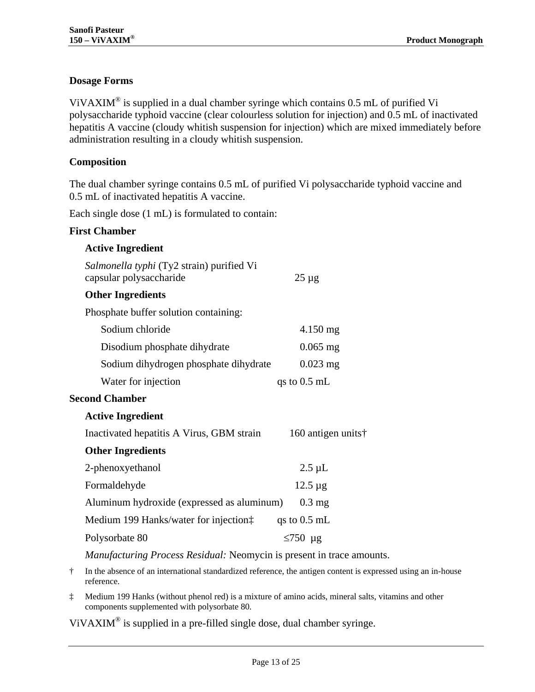#### **Dosage Forms**

ViVAXIM<sup>®</sup> is supplied in a dual chamber syringe which contains  $0.5$  mL of purified Vi polysaccharide typhoid vaccine (clear colourless solution for injection) and 0.5 mL of inactivated hepatitis A vaccine (cloudy whitish suspension for injection) which are mixed immediately before administration resulting in a cloudy whitish suspension.

#### **Composition**

The dual chamber syringe contains 0.5 mL of purified Vi polysaccharide typhoid vaccine and 0.5 mL of inactivated hepatitis A vaccine.

Each single dose (1 mL) is formulated to contain:

#### **First Chamber**

| <b>Active Ingredient</b>                                                                                                                                                                                                                                                                                         |                    |
|------------------------------------------------------------------------------------------------------------------------------------------------------------------------------------------------------------------------------------------------------------------------------------------------------------------|--------------------|
| Salmonella typhi (Ty2 strain) purified Vi<br>capsular polysaccharide                                                                                                                                                                                                                                             | $25 \mu g$         |
| <b>Other Ingredients</b>                                                                                                                                                                                                                                                                                         |                    |
| Phosphate buffer solution containing:                                                                                                                                                                                                                                                                            |                    |
| Sodium chloride                                                                                                                                                                                                                                                                                                  | 4.150 mg           |
| Disodium phosphate dihydrate                                                                                                                                                                                                                                                                                     | $0.065$ mg         |
| Sodium dihydrogen phosphate dihydrate                                                                                                                                                                                                                                                                            | $0.023$ mg         |
| Water for injection                                                                                                                                                                                                                                                                                              | qs to $0.5$ mL     |
| <b>Second Chamber</b>                                                                                                                                                                                                                                                                                            |                    |
| <b>Active Ingredient</b>                                                                                                                                                                                                                                                                                         |                    |
| Inactivated hepatitis A Virus, GBM strain                                                                                                                                                                                                                                                                        | 160 antigen units† |
| <b>Other Ingredients</b>                                                                                                                                                                                                                                                                                         |                    |
| 2-phenoxyethanol                                                                                                                                                                                                                                                                                                 | $2.5 \mu L$        |
| Formaldehyde                                                                                                                                                                                                                                                                                                     | $12.5 \,\mu g$     |
| Aluminum hydroxide (expressed as aluminum)                                                                                                                                                                                                                                                                       | $0.3 \text{ mg}$   |
| Medium 199 Hanks/water for injection:                                                                                                                                                                                                                                                                            | qs to $0.5$ mL     |
| Polysorbate 80                                                                                                                                                                                                                                                                                                   | $\leq$ 750 µg      |
| $\mathbf{M}$ $\mathbf{C}$ , $\mathbf{D}$ $\mathbf{D}$ $\mathbf{D}$ $\mathbf{M}$ , $\mathbf{D}$ , $\mathbf{D}$ , $\mathbf{D}$ , $\mathbf{D}$ , $\mathbf{D}$ , $\mathbf{D}$ , $\mathbf{D}$ , $\mathbf{D}$ , $\mathbf{D}$ , $\mathbf{D}$ , $\mathbf{D}$ , $\mathbf{D}$ , $\mathbf{D}$ , $\mathbf{D}$ , $\mathbf{D}$ |                    |

*Manufacturing Process Residual:* Neomycin is present in trace amounts.

† In the absence of an international standardized reference, the antigen content is expressed using an in-house reference.

‡ Medium 199 Hanks (without phenol red) is a mixture of amino acids, mineral salts, vitamins and other components supplemented with polysorbate 80.

ViVAXIM® is supplied in a pre-filled single dose, dual chamber syringe.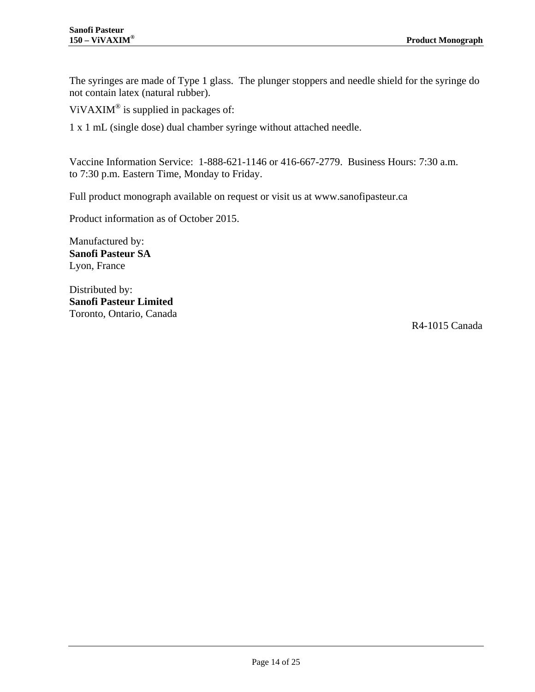The syringes are made of Type 1 glass. The plunger stoppers and needle shield for the syringe do not contain latex (natural rubber).

ViVAXIM<sup>®</sup> is supplied in packages of:

1 x 1 mL (single dose) dual chamber syringe without attached needle.

Vaccine Information Service: 1-888-621-1146 or 416-667-2779. Business Hours: 7:30 a.m. to 7:30 p.m. Eastern Time, Monday to Friday.

Full product monograph available on request or visit us at [www.sanofipasteur.ca](http://www.sanofipasteur.ca/)

Product information as of October 2015.

Manufactured by: **Sanofi Pasteur SA** Lyon, France

Distributed by: **Sanofi Pasteur Limited** Toronto, Ontario, Canada

R4-1015 Canada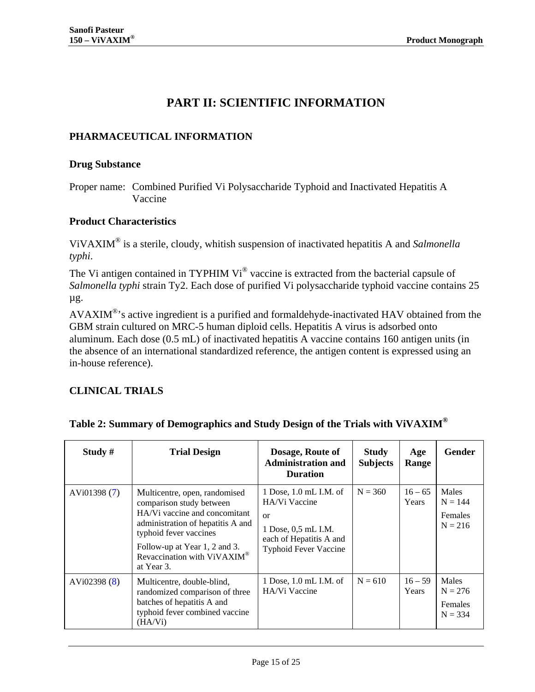## **PART II: SCIENTIFIC INFORMATION**

#### <span id="page-14-1"></span><span id="page-14-0"></span>**PHARMACEUTICAL INFORMATION**

#### **Drug Substance**

Proper name: Combined Purified Vi Polysaccharide Typhoid and Inactivated Hepatitis A Vaccine

#### **Product Characteristics**

ViVAXIM® is a sterile, cloudy, whitish suspension of inactivated hepatitis A and *Salmonella typhi*.

The Vi antigen contained in TYPHIM Vi<sup>®</sup> vaccine is extracted from the bacterial capsule of *Salmonella typhi* strain Ty2. Each dose of purified Vi polysaccharide typhoid vaccine contains 25 µg.

AVAXIM<sup>®</sup>'s active ingredient is a purified and formaldehyde-inactivated HAV obtained from the GBM strain cultured on MRC-5 human diploid cells. Hepatitis A virus is adsorbed onto aluminum. Each dose (0.5 mL) of inactivated hepatitis A vaccine contains 160 antigen units (in the absence of an international standardized reference, the antigen content is expressed using an in-house reference).

#### <span id="page-14-2"></span>**CLINICAL TRIALS**

| Study $#$    | <b>Trial Design</b>                                                                                                                                                                                                                     | Dosage, Route of<br><b>Administration and</b><br><b>Duration</b>                                                                      | <b>Study</b><br><b>Subjects</b> | Age<br>Range       | <b>Gender</b>                                            |
|--------------|-----------------------------------------------------------------------------------------------------------------------------------------------------------------------------------------------------------------------------------------|---------------------------------------------------------------------------------------------------------------------------------------|---------------------------------|--------------------|----------------------------------------------------------|
| AVi01398 (7) | Multicentre, open, randomised<br>comparison study between<br>HA/Vi vaccine and concomitant<br>administration of hepatitis A and<br>typhoid fever vaccines<br>Follow-up at Year 1, 2 and 3.<br>Revaccination with ViVAXIM®<br>at Year 3. | 1 Dose, 1.0 mL I.M. of<br>HA/Vi Vaccine<br>$\alpha$<br>1 Dose, 0,5 mL I.M.<br>each of Hepatitis A and<br><b>Typhoid Fever Vaccine</b> | $N = 360$                       | $16 - 65$<br>Years | Males<br>$N = 144$<br>Females<br>$N = 216$               |
| AVi02398 (8) | Multicentre, double-blind,<br>randomized comparison of three<br>batches of hepatitis A and<br>typhoid fever combined vaccine<br>(HA/Vi)                                                                                                 | 1 Dose, 1.0 mL I.M. of<br>HA/Vi Vaccine                                                                                               | $N = 610$                       | $16 - 59$<br>Years | <b>Males</b><br>$N = 276$<br><b>Females</b><br>$N = 334$ |

#### **Table 2: Summary of Demographics and Study Design of the Trials with ViVAXIM®**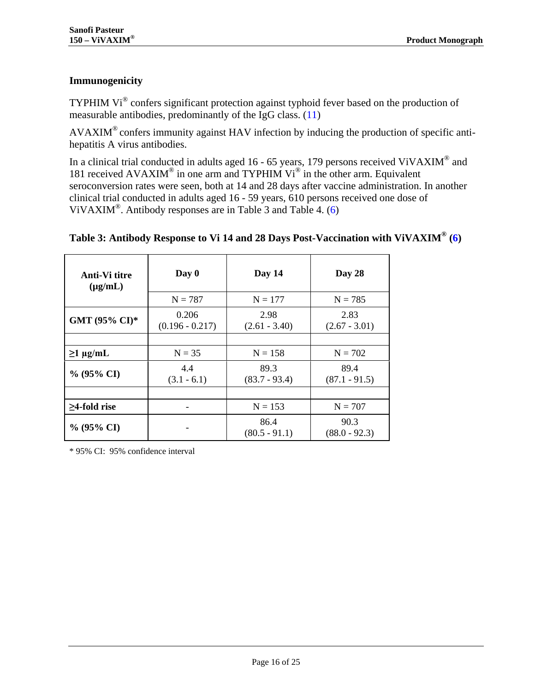## **Immunogenicity**

TYPHIM Vi® confers significant protection against typhoid fever based on the production of measurable antibodies, predominantly of the IgG class. [\(11\)](#page-19-11)

AVAXIM® confers immunity against HAV infection by inducing the production of specific antihepatitis A virus antibodies.

In a clinical trial conducted in adults aged 16 - 65 years, 179 persons received ViVAXIM<sup>®</sup> and 181 received AVAXIM<sup>®</sup> in one arm and TYPHIM Vi<sup>®</sup> in the other arm. Equivalent seroconversion rates were seen, both at 14 and 28 days after vaccine administration. In another clinical trial conducted in adults aged 16 - 59 years, 610 persons received one dose of ViVAXIM®. Antibody responses are in [Table 3](#page-15-0) and [Table 4.](#page-16-0) [\(6\)](#page-19-6)

| Anti-Vi titre<br>$(\mu g/mL)$ | Day 0                      | Day 14                  | Day 28                  |  |
|-------------------------------|----------------------------|-------------------------|-------------------------|--|
|                               | $N = 787$                  | $N = 177$               | $N = 785$               |  |
| GMT (95% CI)*                 | 0.206<br>$(0.196 - 0.217)$ | 2.98<br>$(2.61 - 3.40)$ | 2.83<br>$(2.67 - 3.01)$ |  |
|                               |                            |                         |                         |  |
| $\geq$ 1 µg/mL                | $N = 35$                   | $N = 158$               | $N = 702$               |  |
| $\%$ (95% CI)                 | 4.4<br>$(3.1 - 6.1)$       | 89.3<br>$(83.7 - 93.4)$ | 89.4<br>$(87.1 - 91.5)$ |  |
|                               |                            |                         |                         |  |
| $\geq$ 4-fold rise            |                            | $N = 153$               | $N = 707$               |  |
| $\%$ (95% CI)                 |                            | 86.4<br>$(80.5 - 91.1)$ | 90.3<br>$(88.0 - 92.3)$ |  |

## <span id="page-15-0"></span>**Table 3: Antibody Response to Vi 14 and 28 Days Post-Vaccination with ViVAXIM® [\(6\)](#page-19-6)**

\* 95% CI: 95% confidence interval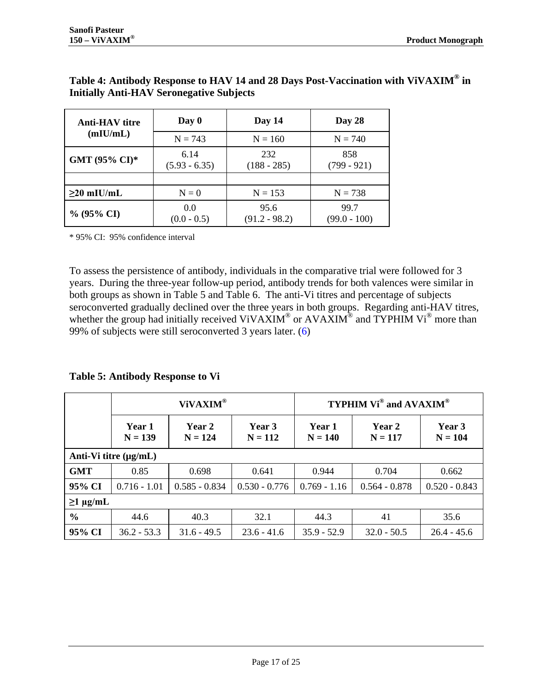| <b>Anti-HAV</b> titre                 | Day 0                   | Day 14                  | Day 28                 |  |
|---------------------------------------|-------------------------|-------------------------|------------------------|--|
| (mIU/mL)                              | $N = 743$               | $N = 160$               | $N = 740$              |  |
| GMT (95% CI)*                         | 6.14<br>$(5.93 - 6.35)$ | 232<br>$(188 - 285)$    | 858<br>$(799 - 921)$   |  |
|                                       |                         |                         |                        |  |
| $\geq$ 20 mIU/mL                      | $N=0$                   | $N = 153$               | $N = 738$              |  |
| 0.0<br>$\%$ (95% CI)<br>$(0.0 - 0.5)$ |                         | 95.6<br>$(91.2 - 98.2)$ | 99.7<br>$(99.0 - 100)$ |  |

#### <span id="page-16-0"></span>**Table 4: Antibody Response to HAV 14 and 28 Days Post-Vaccination with ViVAXIM® in Initially Anti-HAV Seronegative Subjects**

\* 95% CI: 95% confidence interval

To assess the persistence of antibody, individuals in the comparative trial were followed for 3 years. During the three-year follow-up period, antibody trends for both valences were similar in both groups as shown in [Table 5](#page-16-1) and [Table 6.](#page-17-0) The anti-Vi titres and percentage of subjects seroconverted gradually declined over the three years in both groups. Regarding anti-HAV titres, whether the group had initially received ViVAXIM<sup>®</sup> or AVAXIM<sup>®</sup> and TYPHIM Vi<sup>®</sup> more than 99% of subjects were still seroconverted 3 years later. [\(6\)](#page-19-6) 

<span id="page-16-1"></span>**Table 5: Antibody Response to Vi**

|                            | ViVAXIM®            |                     |                     | <b>TYPHIM Vi<sup>®</sup> and AVAXIM<sup>®</sup></b> |                     |                     |
|----------------------------|---------------------|---------------------|---------------------|-----------------------------------------------------|---------------------|---------------------|
|                            | Year 1<br>$N = 139$ | Year 2<br>$N = 124$ | Year 3<br>$N = 112$ | Year 1<br>$N = 140$                                 | Year 2<br>$N = 117$ | Year 3<br>$N = 104$ |
| Anti-Vi titre $(\mu g/mL)$ |                     |                     |                     |                                                     |                     |                     |
| <b>GMT</b>                 | 0.85                | 0.698               | 0.641               | 0.944                                               | 0.704               | 0.662               |
| 95% CI                     | $0.716 - 1.01$      | $0.585 - 0.834$     | $0.530 - 0.776$     | $0.769 - 1.16$                                      | $0.564 - 0.878$     | $0.520 - 0.843$     |
| $\geq$ 1 µg/mL             |                     |                     |                     |                                                     |                     |                     |
| $\frac{0}{0}$              | 44.6                | 40.3                | 32.1                | 44.3                                                | 41                  | 35.6                |
| 95% CI                     | $36.2 - 53.3$       | $31.6 - 49.5$       | $23.6 - 41.6$       | $35.9 - 52.9$                                       | $32.0 - 50.5$       | $26.4 - 45.6$       |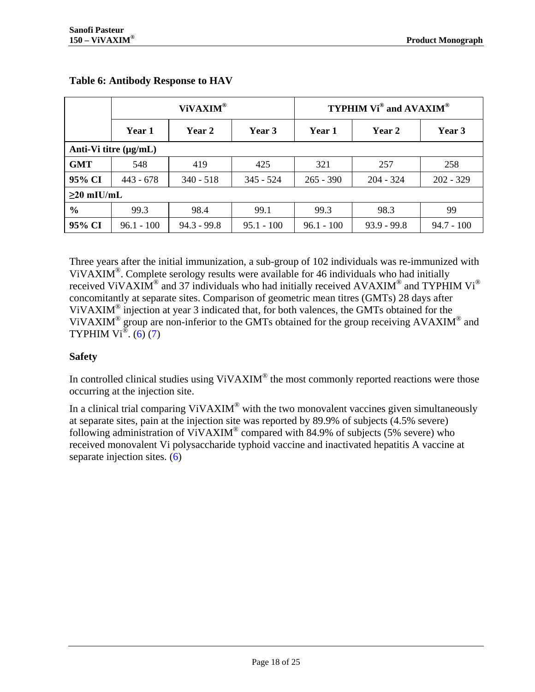|                       | ViVAXIM <sup>®</sup> |               |              | <b>TYPHIM Vi<sup>®</sup> and AVAXIM<sup>®</sup></b> |               |              |
|-----------------------|----------------------|---------------|--------------|-----------------------------------------------------|---------------|--------------|
|                       | Year 1               | Year 2        | Year 3       | Year 1                                              | Year 2        | Year 3       |
| Anti-Vi titre (µg/mL) |                      |               |              |                                                     |               |              |
| <b>GMT</b>            | 548                  | 419           | 425          | 321                                                 | 257           | 258          |
| 95% CI                | $443 - 678$          | $340 - 518$   | $345 - 524$  | $265 - 390$                                         | $204 - 324$   | $202 - 329$  |
| $\geq$ 20 mIU/mL      |                      |               |              |                                                     |               |              |
| $\frac{6}{6}$         | 99.3                 | 98.4          | 99.1         | 99.3                                                | 98.3          | 99           |
| 95% CI                | $96.1 - 100$         | $94.3 - 99.8$ | $95.1 - 100$ | $96.1 - 100$                                        | $93.9 - 99.8$ | $94.7 - 100$ |

#### <span id="page-17-0"></span>**Table 6: Antibody Response to HAV**

Three years after the initial immunization, a sub-group of 102 individuals was re-immunized with ViVAXIM<sup>®</sup>. Complete serology results were available for 46 individuals who had initially received ViVAXIM<sup>®</sup> and 37 individuals who had initially received AVAXIM<sup>®</sup> and TYPHIM Vi<sup>®</sup> concomitantly at separate sites. Comparison of geometric mean titres (GMTs) 28 days after VIVAXIM<sup>®</sup> injection at year 3 indicated that, for both valences, the GMTs obtained for the ViVAXIM<sup>®</sup> group are non-inferior to the GMTs obtained for the group receiving AVAXIM<sup>®</sup> and TYPHIM Vi<sup>®</sup>. [\(6\)](#page-19-6) [\(7\)](#page-19-7)

## **Safety**

In controlled clinical studies using ViVAXIM<sup>®</sup> the most commonly reported reactions were those occurring at the injection site.

In a clinical trial comparing  $ViVAXIM^{\circledast}$  with the two monovalent vaccines given simultaneously at separate sites, pain at the injection site was reported by 89.9% of subjects (4.5% severe) following administration of ViVAXIM® compared with 84.9% of subjects (5% severe) who received monovalent Vi polysaccharide typhoid vaccine and inactivated hepatitis A vaccine at separate injection sites. [\(6\)](#page-19-6)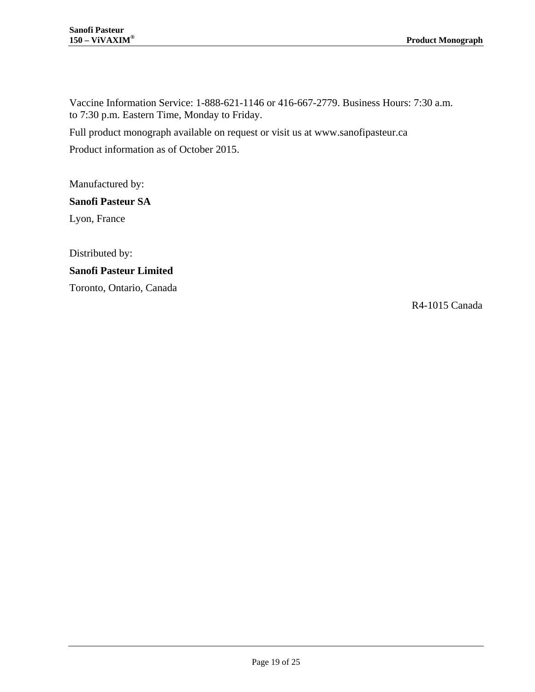Vaccine Information Service: 1-888-621-1146 or 416-667-2779. Business Hours: 7:30 a.m. to 7:30 p.m. Eastern Time, Monday to Friday.

Full product monograph available on request or visit us at [www.sanofipasteur.ca](http://www.sanofipasteur.ca/)

Product information as of October 2015.

Manufactured by:

#### **Sanofi Pasteur SA**

Lyon, France

Distributed by: **Sanofi Pasteur Limited** Toronto, Ontario, Canada

R4-1015 Canada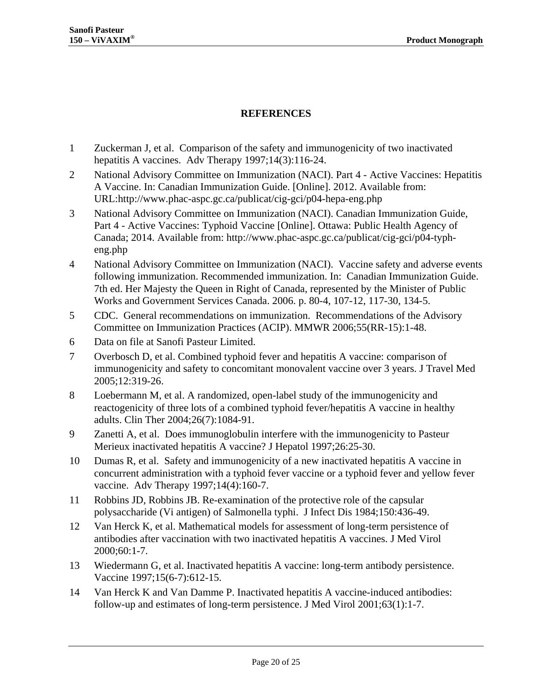#### **REFERENCES**

- <span id="page-19-1"></span><span id="page-19-0"></span>1 Zuckerman J, et al. Comparison of the safety and immunogenicity of two inactivated hepatitis A vaccines. Adv Therapy 1997;14(3):116-24.
- <span id="page-19-2"></span>2 National Advisory Committee on Immunization (NACI). Part 4 - Active Vaccines: Hepatitis A Vaccine. In: Canadian Immunization Guide. [Online]. 2012. Available from: URL:http://www.phac-aspc.gc.ca/publicat/cig-gci/p04-hepa-eng.php
- <span id="page-19-3"></span>3 National Advisory Committee on Immunization (NACI). Canadian Immunization Guide, Part 4 - Active Vaccines: Typhoid Vaccine [Online]. Ottawa: Public Health Agency of Canada; 2014. Available from: http://www.phac-aspc.gc.ca/publicat/cig-gci/p04-typheng.php
- <span id="page-19-4"></span>4 National Advisory Committee on Immunization (NACI). Vaccine safety and adverse events following immunization. Recommended immunization. In: Canadian Immunization Guide. 7th ed. Her Majesty the Queen in Right of Canada, represented by the Minister of Public Works and Government Services Canada. 2006. p. 80-4, 107-12, 117-30, 134-5.
- <span id="page-19-5"></span>5 CDC. General recommendations on immunization. Recommendations of the Advisory Committee on Immunization Practices (ACIP). MMWR 2006;55(RR-15):1-48.
- <span id="page-19-6"></span>6 Data on file at Sanofi Pasteur Limited.
- <span id="page-19-7"></span>7 Overbosch D, et al. Combined typhoid fever and hepatitis A vaccine: comparison of immunogenicity and safety to concomitant monovalent vaccine over 3 years. J Travel Med 2005;12:319-26.
- <span id="page-19-8"></span>8 Loebermann M, et al. A randomized, open-label study of the immunogenicity and reactogenicity of three lots of a combined typhoid fever/hepatitis A vaccine in healthy adults. Clin Ther 2004;26(7):1084-91.
- <span id="page-19-9"></span>9 Zanetti A, et al. Does immunoglobulin interfere with the immunogenicity to Pasteur Merieux inactivated hepatitis A vaccine? J Hepatol 1997;26:25-30.
- <span id="page-19-10"></span>10 Dumas R, et al. Safety and immunogenicity of a new inactivated hepatitis A vaccine in concurrent administration with a typhoid fever vaccine or a typhoid fever and yellow fever vaccine. Adv Therapy 1997;14(4):160-7.
- <span id="page-19-11"></span>11 Robbins JD, Robbins JB. Re-examination of the protective role of the capsular polysaccharide (Vi antigen) of Salmonella typhi. J Infect Dis 1984;150:436-49.
- <span id="page-19-12"></span>12 Van Herck K, et al. Mathematical models for assessment of long-term persistence of antibodies after vaccination with two inactivated hepatitis A vaccines. J Med Virol 2000;60:1-7.
- <span id="page-19-13"></span>13 Wiedermann G, et al. Inactivated hepatitis A vaccine: long-term antibody persistence. Vaccine 1997;15(6-7):612-15.
- <span id="page-19-14"></span>14 Van Herck K and Van Damme P. Inactivated hepatitis A vaccine-induced antibodies: follow-up and estimates of long-term persistence. J Med Virol 2001;63(1):1-7.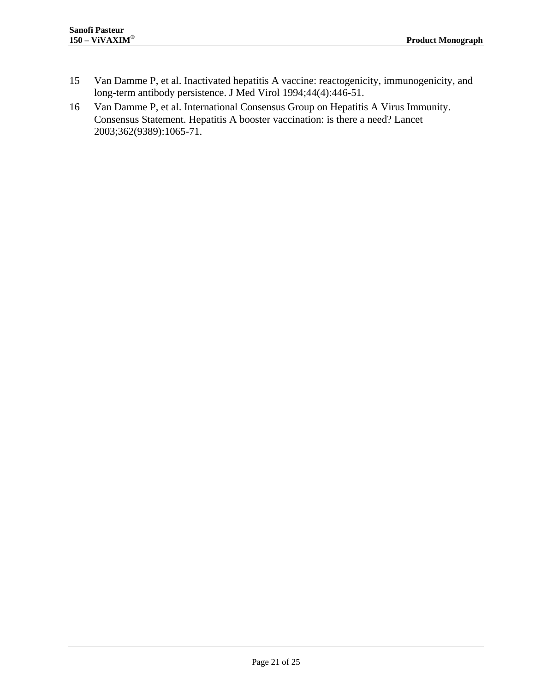- <span id="page-20-0"></span>15 Van Damme P, et al. Inactivated hepatitis A vaccine: reactogenicity, immunogenicity, and long-term antibody persistence. J Med Virol 1994;44(4):446-51.
- <span id="page-20-1"></span>16 Van Damme P, et al. International Consensus Group on Hepatitis A Virus Immunity. Consensus Statement. Hepatitis A booster vaccination: is there a need? Lancet 2003;362(9389):1065-71.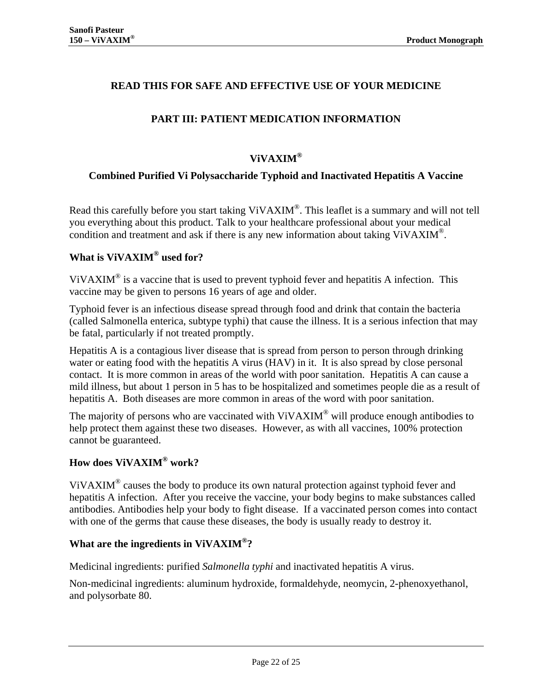### <span id="page-21-0"></span>**READ THIS FOR SAFE AND EFFECTIVE USE OF YOUR MEDICINE**

## **PART III: PATIENT MEDICATION INFORMATION**

### **ViVAXIM®**

#### **Combined Purified Vi Polysaccharide Typhoid and Inactivated Hepatitis A Vaccine**

Read this carefully before you start taking ViVAXIM<sup>®</sup>. This leaflet is a summary and will not tell you everything about this product. Talk to your healthcare professional about your medical condition and treatment and ask if there is any new information about taking ViVAXIM®.

## **What is ViVAXIM® used for?**

ViVAXIM® is a vaccine that is used to prevent typhoid fever and hepatitis A infection. This vaccine may be given to persons 16 years of age and older.

Typhoid fever is an infectious disease spread through food and drink that contain the bacteria (called Salmonella enterica, subtype typhi) that cause the illness. It is a serious infection that may be fatal, particularly if not treated promptly.

Hepatitis A is a contagious liver disease that is spread from person to person through drinking water or eating food with the hepatitis A virus (HAV) in it. It is also spread by close personal contact. It is more common in areas of the world with poor sanitation. Hepatitis A can cause a mild illness, but about 1 person in 5 has to be hospitalized and sometimes people die as a result of hepatitis A. Both diseases are more common in areas of the word with poor sanitation.

The majority of persons who are vaccinated with ViVAXIM<sup>®</sup> will produce enough antibodies to help protect them against these two diseases. However, as with all vaccines, 100% protection cannot be guaranteed.

#### **How does ViVAXIM® work?**

ViVAXIM<sup>®</sup> causes the body to produce its own natural protection against typhoid fever and hepatitis A infection. After you receive the vaccine, your body begins to make substances called antibodies. Antibodies help your body to fight disease. If a vaccinated person comes into contact with one of the germs that cause these diseases, the body is usually ready to destroy it.

#### **What are the ingredients in ViVAXIM®?**

Medicinal ingredients: purified *Salmonella typhi* and inactivated hepatitis A virus.

Non-medicinal ingredients: aluminum hydroxide, formaldehyde, neomycin, 2-phenoxyethanol, and polysorbate 80.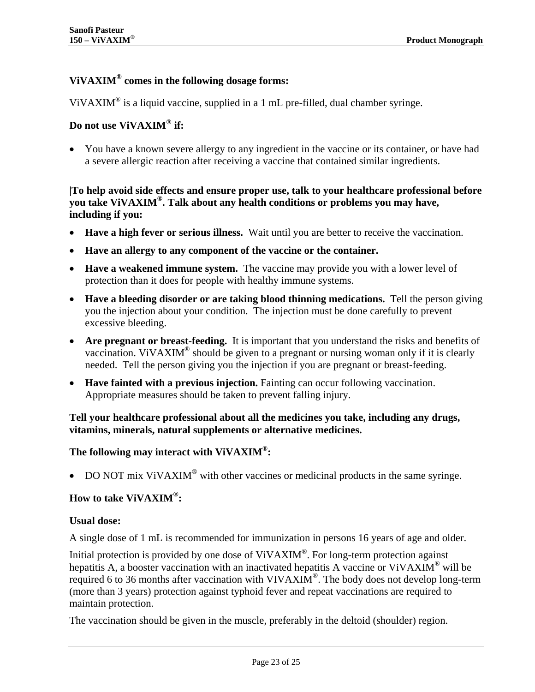## **ViVAXIM® comes in the following dosage forms:**

ViVAXIM<sup>®</sup> is a liquid vaccine, supplied in a 1 mL pre-filled, dual chamber syringe.

#### **Do not use ViVAXIM® if:**

• You have a known severe allergy to any ingredient in the vaccine or its container, or have had a severe allergic reaction after receiving a vaccine that contained similar ingredients.

#### **|To help avoid side effects and ensure proper use, talk to your healthcare professional before you take ViVAXIM®. Talk about any health conditions or problems you may have, including if you:**

- **Have a high fever or serious illness.** Wait until you are better to receive the vaccination.
- **Have an allergy to any component of the vaccine or the container.**
- **Have a weakened immune system.** The vaccine may provide you with a lower level of protection than it does for people with healthy immune systems.
- **Have a bleeding disorder or are taking blood thinning medications.** Tell the person giving you the injection about your condition. The injection must be done carefully to prevent excessive bleeding.
- Are pregnant or breast-feeding. It is important that you understand the risks and benefits of vaccination. ViVAXIM<sup>®</sup> should be given to a pregnant or nursing woman only if it is clearly needed. Tell the person giving you the injection if you are pregnant or breast-feeding.
- **Have fainted with a previous injection.** Fainting can occur following vaccination. Appropriate measures should be taken to prevent falling injury.

#### **Tell your healthcare professional about all the medicines you take, including any drugs, vitamins, minerals, natural supplements or alternative medicines.**

#### **The following may interact with ViVAXIM®:**

• DO NOT mix ViVAXIM<sup>®</sup> with other vaccines or medicinal products in the same syringe.

### **How to take ViVAXIM®:**

#### **Usual dose:**

A single dose of 1 mL is recommended for immunization in persons 16 years of age and older.

Initial protection is provided by one dose of ViVAXIM®. For long-term protection against hepatitis A, a booster vaccination with an inactivated hepatitis A vaccine or ViVAXIM<sup>®</sup> will be required 6 to 36 months after vaccination with VIVAXIM<sup>®</sup>. The body does not develop long-term (more than 3 years) protection against typhoid fever and repeat vaccinations are required to maintain protection.

The vaccination should be given in the muscle, preferably in the deltoid (shoulder) region.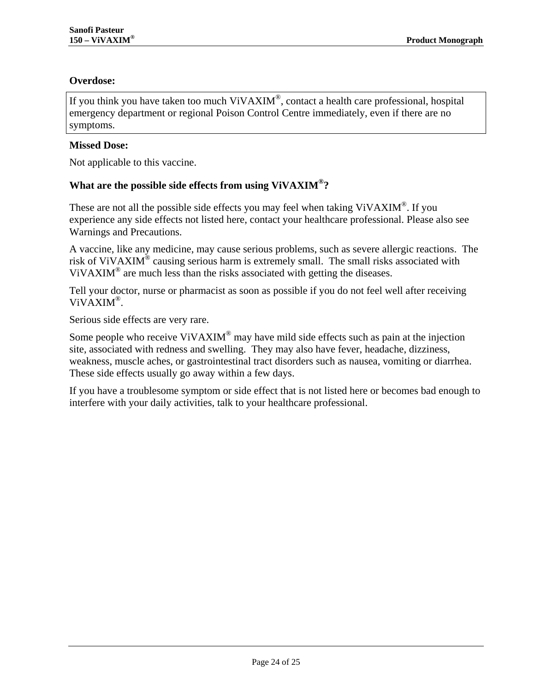#### **Overdose:**

If you think you have taken too much ViVAXIM®, contact a health care professional, hospital emergency department or regional Poison Control Centre immediately, even if there are no symptoms.

#### **Missed Dose:**

Not applicable to this vaccine.

#### **What are the possible side effects from using ViVAXIM®?**

These are not all the possible side effects you may feel when taking ViVAXIM<sup>®</sup>. If you experience any side effects not listed here, contact your healthcare professional. Please also see Warnings and Precautions.

A vaccine, like any medicine, may cause serious problems, such as severe allergic reactions. The risk of ViVAXIM<sup>®</sup> causing serious harm is extremely small. The small risks associated with ViVAXIM® are much less than the risks associated with getting the diseases.

Tell your doctor, nurse or pharmacist as soon as possible if you do not feel well after receiving ViVAXIM®.

Serious side effects are very rare.

Some people who receive ViVAXIM<sup>®</sup> may have mild side effects such as pain at the injection site, associated with redness and swelling. They may also have fever, headache, dizziness, weakness, muscle aches, or gastrointestinal tract disorders such as nausea, vomiting or diarrhea. These side effects usually go away within a few days.

If you have a troublesome symptom or side effect that is not listed here or becomes bad enough to interfere with your daily activities, talk to your healthcare professional.